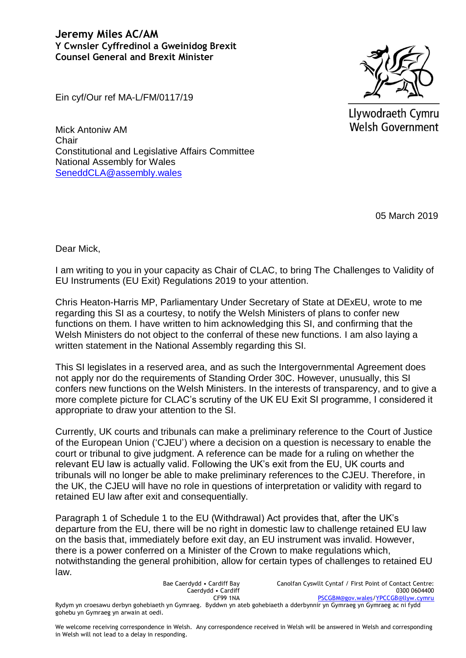## **Jeremy Miles AC/AM Y Cwnsler Cyffredinol a Gweinidog Brexit Counsel General and Brexit Minister**

Llywodraeth Cymru Welsh Government

Ein cyf/Our ref MA-L/FM/0117/19

Mick Antoniw AM **Chair** Constitutional and Legislative Affairs Committee National Assembly for Wales [SeneddCLA@assembly.wales](mailto:SeneddCLA@assembly.wales)

05 March 2019

Dear Mick,

I am writing to you in your capacity as Chair of CLAC, to bring The Challenges to Validity of EU Instruments (EU Exit) Regulations 2019 to your attention.

Chris Heaton-Harris MP, Parliamentary Under Secretary of State at DExEU, wrote to me regarding this SI as a courtesy, to notify the Welsh Ministers of plans to confer new functions on them. I have written to him acknowledging this SI, and confirming that the Welsh Ministers do not object to the conferral of these new functions. I am also laying a written statement in the National Assembly regarding this SI.

This SI legislates in a reserved area, and as such the Intergovernmental Agreement does not apply nor do the requirements of Standing Order 30C. However, unusually, this SI confers new functions on the Welsh Ministers. In the interests of transparency, and to give a more complete picture for CLAC's scrutiny of the UK EU Exit SI programme, I considered it appropriate to draw your attention to the SI.

Currently, UK courts and tribunals can make a preliminary reference to the Court of Justice of the European Union ('CJEU') where a decision on a question is necessary to enable the court or tribunal to give judgment. A reference can be made for a ruling on whether the relevant EU law is actually valid. Following the UK's exit from the EU, UK courts and tribunals will no longer be able to make preliminary references to the CJEU. Therefore, in the UK, the CJEU will have no role in questions of interpretation or validity with regard to retained EU law after exit and consequentially.

Paragraph 1 of Schedule 1 to the EU (Withdrawal) Act provides that, after the UK's departure from the EU, there will be no right in domestic law to challenge retained EU law on the basis that, immediately before exit day, an EU instrument was invalid. However, there is a power conferred on a Minister of the Crown to make regulations which, notwithstanding the general prohibition, allow for certain types of challenges to retained EU law.

Bae Caerdydd • Cardiff Bay Caerdydd • Cardiff CF99 1NA Canolfan Cyswllt Cyntaf / First Point of Contact Centre: 0300 0604400 [PSCGBM@gov.wales](mailto:PSCGBM@gov.wales)[/YPCCGB@llyw.cymru](mailto:YPCCGB@llyw.cymru) Rydym yn croesawu derbyn gohebiaeth yn Gymraeg. Byddwn yn ateb gohebiaeth a dderbynnir yn Gymraeg yn Gymraeg ac ni fydd gohebu yn Gymraeg yn arwain at oedi.